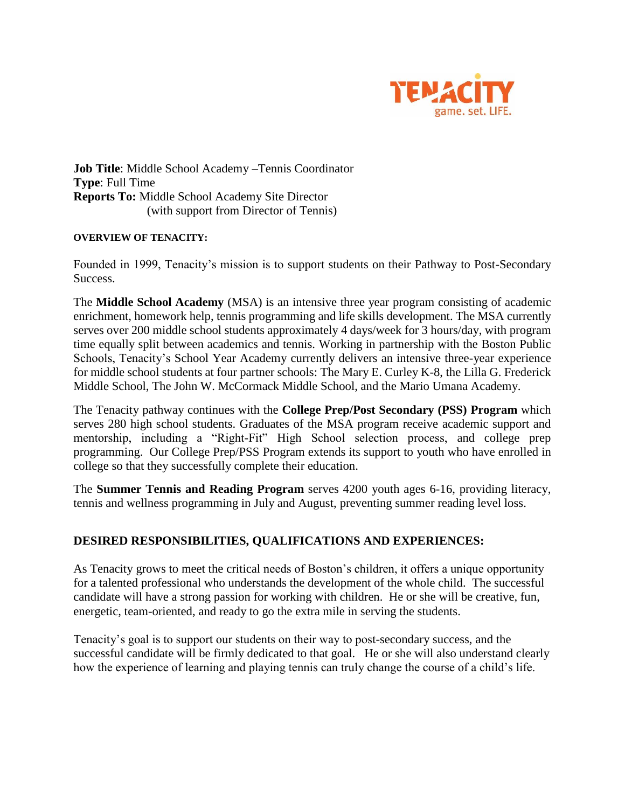

**Job Title**: Middle School Academy –Tennis Coordinator **Type**: Full Time **Reports To:** Middle School Academy Site Director (with support from Director of Tennis)

## **OVERVIEW OF TENACITY:**

Founded in 1999, Tenacity's mission is to support students on their Pathway to Post-Secondary Success.

The **Middle School Academy** (MSA) is an intensive three year program consisting of academic enrichment, homework help, tennis programming and life skills development. The MSA currently serves over 200 middle school students approximately 4 days/week for 3 hours/day, with program time equally split between academics and tennis. Working in partnership with the Boston Public Schools, Tenacity's School Year Academy currently delivers an intensive three-year experience for middle school students at four partner schools: The Mary E. Curley K-8, the Lilla G. Frederick Middle School, The John W. McCormack Middle School, and the Mario Umana Academy.

The Tenacity pathway continues with the **College Prep/Post Secondary (PSS) Program** which serves 280 high school students. Graduates of the MSA program receive academic support and mentorship, including a "Right-Fit" High School selection process, and college prep programming. Our College Prep/PSS Program extends its support to youth who have enrolled in college so that they successfully complete their education.

The **Summer Tennis and Reading Program** serves 4200 youth ages 6-16, providing literacy, tennis and wellness programming in July and August, preventing summer reading level loss.

## **DESIRED RESPONSIBILITIES, QUALIFICATIONS AND EXPERIENCES:**

As Tenacity grows to meet the critical needs of Boston's children, it offers a unique opportunity for a talented professional who understands the development of the whole child. The successful candidate will have a strong passion for working with children. He or she will be creative, fun, energetic, team-oriented, and ready to go the extra mile in serving the students.

Tenacity's goal is to support our students on their way to post-secondary success, and the successful candidate will be firmly dedicated to that goal. He or she will also understand clearly how the experience of learning and playing tennis can truly change the course of a child's life.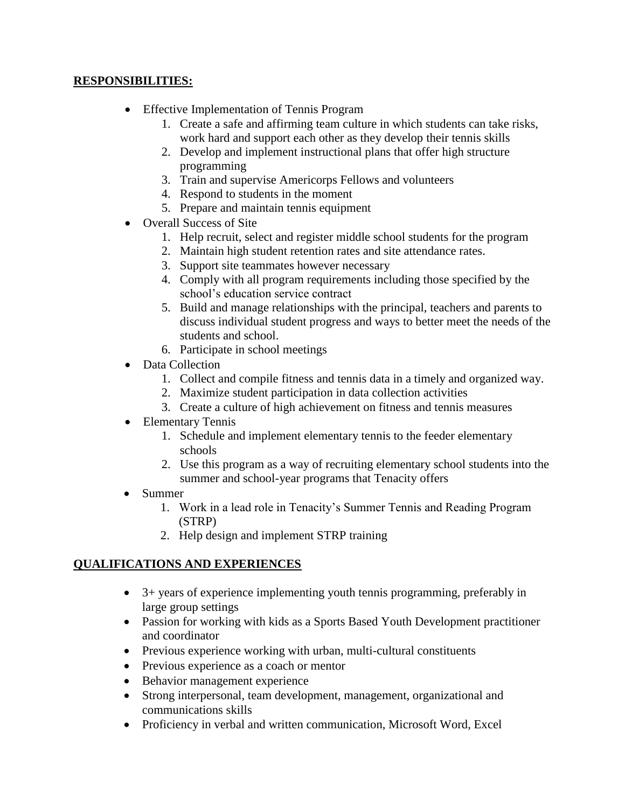## **RESPONSIBILITIES:**

- Effective Implementation of Tennis Program
	- 1. Create a safe and affirming team culture in which students can take risks, work hard and support each other as they develop their tennis skills
	- 2. Develop and implement instructional plans that offer high structure programming
	- 3. Train and supervise Americorps Fellows and volunteers
	- 4. Respond to students in the moment
	- 5. Prepare and maintain tennis equipment
- Overall Success of Site
	- 1. Help recruit, select and register middle school students for the program
	- 2. Maintain high student retention rates and site attendance rates.
	- 3. Support site teammates however necessary
	- 4. Comply with all program requirements including those specified by the school's education service contract
	- 5. Build and manage relationships with the principal, teachers and parents to discuss individual student progress and ways to better meet the needs of the students and school.
	- 6. Participate in school meetings
- Data Collection
	- 1. Collect and compile fitness and tennis data in a timely and organized way.
	- 2. Maximize student participation in data collection activities
	- 3. Create a culture of high achievement on fitness and tennis measures
- Elementary Tennis
	- 1. Schedule and implement elementary tennis to the feeder elementary schools
	- 2. Use this program as a way of recruiting elementary school students into the summer and school-year programs that Tenacity offers
- Summer
	- 1. Work in a lead role in Tenacity's Summer Tennis and Reading Program (STRP)
	- 2. Help design and implement STRP training

## **QUALIFICATIONS AND EXPERIENCES**

- 3+ years of experience implementing youth tennis programming, preferably in large group settings
- Passion for working with kids as a Sports Based Youth Development practitioner and coordinator
- Previous experience working with urban, multi-cultural constituents
- Previous experience as a coach or mentor
- Behavior management experience
- Strong interpersonal, team development, management, organizational and communications skills
- Proficiency in verbal and written communication, Microsoft Word, Excel